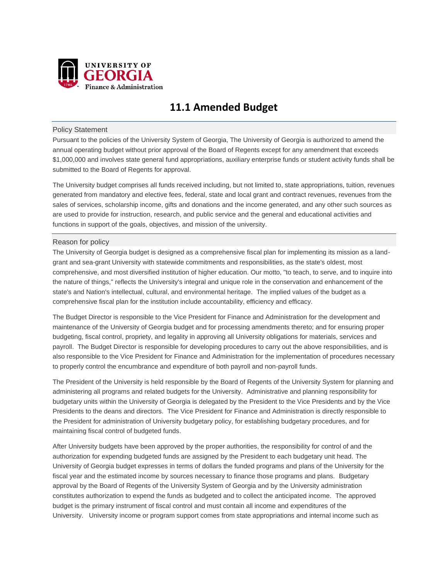

# **11.1 Amended Budget**

# Policy Statement

Pursuant to the policies of the University System of Georgia, The University of Georgia is authorized to amend the annual operating budget without prior approval of the Board of Regents except for any amendment that exceeds \$1,000,000 and involves state general fund appropriations, auxiliary enterprise funds or student activity funds shall be submitted to the Board of Regents for approval.

The University budget comprises all funds received including, but not limited to, state appropriations, tuition, revenues generated from mandatory and elective fees, federal, state and local grant and contract revenues, revenues from the sales of services, scholarship income, gifts and donations and the income generated, and any other such sources as are used to provide for instruction, research, and public service and the general and educational activities and functions in support of the goals, objectives, and mission of the university.

# Reason for policy

The University of Georgia budget is designed as a comprehensive fiscal plan for implementing its mission as a landgrant and sea-grant University with statewide commitments and responsibilities, as the state's oldest, most comprehensive, and most diversified institution of higher education. Our motto, "to teach, to serve, and to inquire into the nature of things," reflects the University's integral and unique role in the conservation and enhancement of the state's and Nation's intellectual, cultural, and environmental heritage. The implied values of the budget as a comprehensive fiscal plan for the institution include accountability, efficiency and efficacy.

The Budget Director is responsible to the Vice President for Finance and Administration for the development and maintenance of the University of Georgia budget and for processing amendments thereto; and for ensuring proper budgeting, fiscal control, propriety, and legality in approving all University obligations for materials, services and payroll. The Budget Director is responsible for developing procedures to carry out the above responsibilities, and is also responsible to the Vice President for Finance and Administration for the implementation of procedures necessary to properly control the encumbrance and expenditure of both payroll and non-payroll funds.

The President of the University is held responsible by the Board of Regents of the University System for planning and administering all programs and related budgets for the University. Administrative and planning responsibility for budgetary units within the University of Georgia is delegated by the President to the Vice Presidents and by the Vice Presidents to the deans and directors. The Vice President for Finance and Administration is directly responsible to the President for administration of University budgetary policy, for establishing budgetary procedures, and for maintaining fiscal control of budgeted funds.

After University budgets have been approved by the proper authorities, the responsibility for control of and the authorization for expending budgeted funds are assigned by the President to each budgetary unit head. The University of Georgia budget expresses in terms of dollars the funded programs and plans of the University for the fiscal year and the estimated income by sources necessary to finance those programs and plans. Budgetary approval by the Board of Regents of the University System of Georgia and by the University administration constitutes authorization to expend the funds as budgeted and to collect the anticipated income. The approved budget is the primary instrument of fiscal control and must contain all income and expenditures of the University. University income or program support comes from state appropriations and internal income such as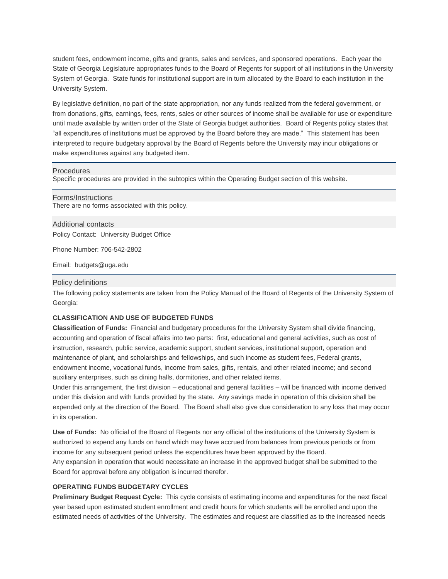student fees, endowment income, gifts and grants, sales and services, and sponsored operations. Each year the State of Georgia Legislature appropriates funds to the Board of Regents for support of all institutions in the University System of Georgia. State funds for institutional support are in turn allocated by the Board to each institution in the University System.

By legislative definition, no part of the state appropriation, nor any funds realized from the federal government, or from donations, gifts, earnings, fees, rents, sales or other sources of income shall be available for use or expenditure until made available by written order of the State of Georgia budget authorities. Board of Regents policy states that "all expenditures of institutions must be approved by the Board before they are made." This statement has been interpreted to require budgetary approval by the Board of Regents before the University may incur obligations or make expenditures against any budgeted item.

## Procedures

Specific procedures are provided in the subtopics within the Operating Budget section of this website.

# Forms/Instructions

There are no forms associated with this policy.

Additional contacts Policy Contact: University Budget Office

Phone Number: 706-542-2802

Email: budgets@uga.edu

## Policy definitions

The following policy statements are taken from the Policy Manual of the Board of Regents of the University System of Georgia:

# **CLASSIFICATION AND USE OF BUDGETED FUNDS**

**Classification of Funds:** Financial and budgetary procedures for the University System shall divide financing, accounting and operation of fiscal affairs into two parts: first, educational and general activities, such as cost of instruction, research, public service, academic support, student services, institutional support, operation and maintenance of plant, and scholarships and fellowships, and such income as student fees, Federal grants, endowment income, vocational funds, income from sales, gifts, rentals, and other related income; and second auxiliary enterprises, such as dining halls, dormitories, and other related items.

Under this arrangement, the first division – educational and general facilities – will be financed with income derived under this division and with funds provided by the state. Any savings made in operation of this division shall be expended only at the direction of the Board. The Board shall also give due consideration to any loss that may occur in its operation.

**Use of Funds:** No official of the Board of Regents nor any official of the institutions of the University System is authorized to expend any funds on hand which may have accrued from balances from previous periods or from income for any subsequent period unless the expenditures have been approved by the Board.

Any expansion in operation that would necessitate an increase in the approved budget shall be submitted to the Board for approval before any obligation is incurred therefor.

# **OPERATING FUNDS BUDGETARY CYCLES**

**Preliminary Budget Request Cycle:** This cycle consists of estimating income and expenditures for the next fiscal year based upon estimated student enrollment and credit hours for which students will be enrolled and upon the estimated needs of activities of the University. The estimates and request are classified as to the increased needs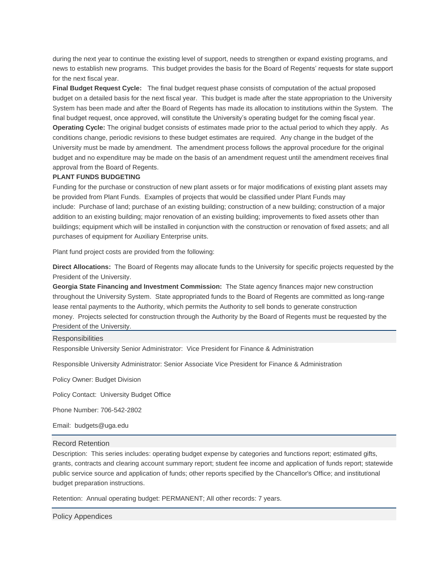during the next year to continue the existing level of support, needs to strengthen or expand existing programs, and news to establish new programs. This budget provides the basis for the Board of Regents' requests for state support for the next fiscal year.

**Final Budget Request Cycle:** The final budget request phase consists of computation of the actual proposed budget on a detailed basis for the next fiscal year. This budget is made after the state appropriation to the University System has been made and after the Board of Regents has made its allocation to institutions within the System. The final budget request, once approved, will constitute the University's operating budget for the coming fiscal year. **Operating Cycle:** The original budget consists of estimates made prior to the actual period to which they apply. As conditions change, periodic revisions to these budget estimates are required. Any change in the budget of the University must be made by amendment. The amendment process follows the approval procedure for the original budget and no expenditure may be made on the basis of an amendment request until the amendment receives final approval from the Board of Regents.

# **PLANT FUNDS BUDGETING**

Funding for the purchase or construction of new plant assets or for major modifications of existing plant assets may be provided from Plant Funds. Examples of projects that would be classified under Plant Funds may include: Purchase of land; purchase of an existing building; construction of a new building; construction of a major addition to an existing building; major renovation of an existing building; improvements to fixed assets other than buildings; equipment which will be installed in conjunction with the construction or renovation of fixed assets; and all purchases of equipment for Auxiliary Enterprise units.

Plant fund project costs are provided from the following:

**Direct Allocations:** The Board of Regents may allocate funds to the University for specific projects requested by the President of the University.

**Georgia State Financing and Investment Commission:** The State agency finances major new construction throughout the University System. State appropriated funds to the Board of Regents are committed as long-range lease rental payments to the Authority, which permits the Authority to sell bonds to generate construction money. Projects selected for construction through the Authority by the Board of Regents must be requested by the President of the University.

## **Responsibilities**

Responsible University Senior Administrator: Vice President for Finance & Administration

Responsible University Administrator: Senior Associate Vice President for Finance & Administration

Policy Owner: Budget Division

Policy Contact: University Budget Office

Phone Number: 706-542-2802

Email: budgets@uga.edu

#### Record Retention

Description: This series includes: operating budget expense by categories and functions report; estimated gifts, grants, contracts and clearing account summary report; student fee income and application of funds report; statewide public service source and application of funds; other reports specified by the Chancellor's Office; and institutional budget preparation instructions.

Retention: Annual operating budget: PERMANENT; All other records: 7 years.

Policy Appendices